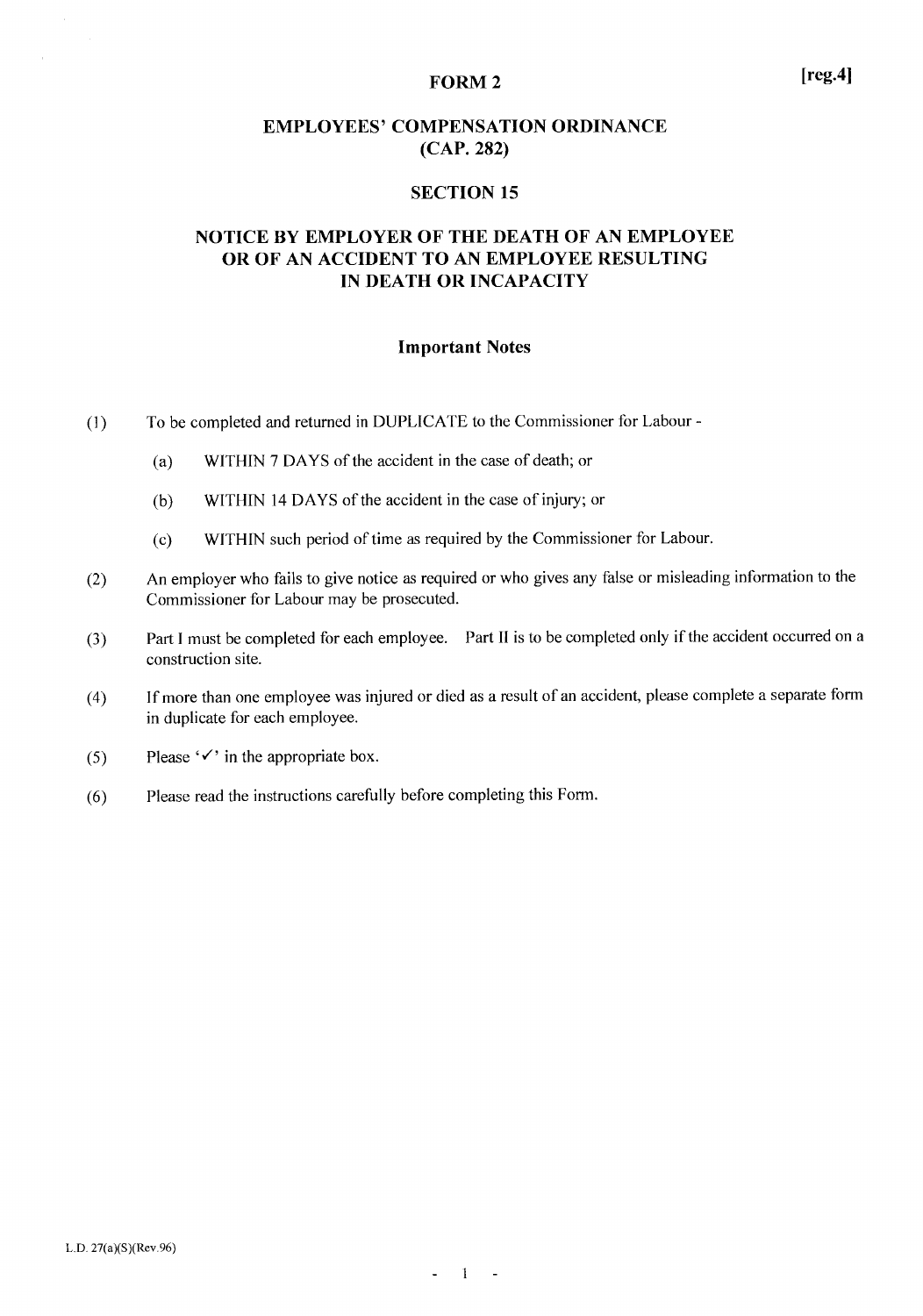#### **FORM 2**

#### **SECTION 15**

# NOTICE BY EMPLOYER OF THE DEATH OF AN EMPLOYEE OR OF AN ACCIDENT TO AN EMPLOYEE RESULTING IN DEATH OR INCAPACITY

#### **Important Notes**

- To be completed and returned in DUPLICATE to the Commissioner for Labour - $(1)$ 
	- WITHIN 7 DAYS of the accident in the case of death; or  $(a)$
	- WITHIN 14 DAYS of the accident in the case of injury; or  $(b)$
	- WITHIN such period of time as required by the Commissioner for Labour.  $(c)$
- An employer who fails to give notice as required or who gives any false or misleading information to the  $(2)$ Commissioner for Labour may be prosecuted.
- Part I must be completed for each employee. Part II is to be completed only if the accident occurred on a  $(3)$ construction site.
- If more than one employee was injured or died as a result of an accident, please complete a separate form  $(4)$ in duplicate for each employee.
- Please  $\checkmark$  in the appropriate box.  $(5)$
- Please read the instructions carefully before completing this Form.  $(6)$

 $[reg.4]$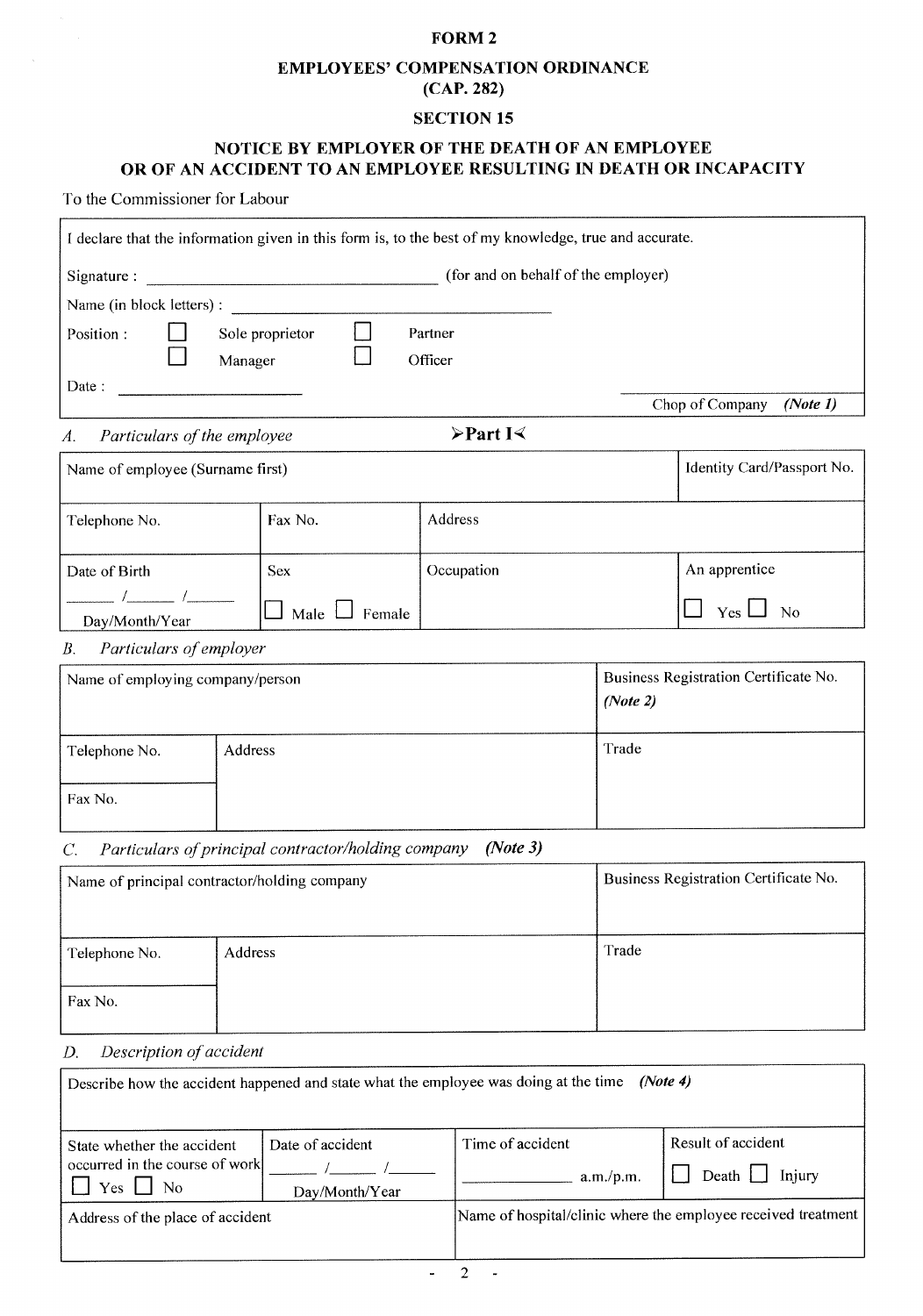### FORM<sub>2</sub>

# **EMPLOYEES' COMPENSATION ORDINANCE** (CAP. 282)

# **SECTION 15**

# NOTICE BY EMPLOYER OF THE DEATH OF AN EMPLOYEE OR OF AN ACCIDENT TO AN EMPLOYEE RESULTING IN DEATH OR INCAPACITY

To the Commissioner for Labour

| I declare that the information given in this form is, to the best of my knowledge, true and accurate. |                                                     |                                         |          |                                       |
|-------------------------------------------------------------------------------------------------------|-----------------------------------------------------|-----------------------------------------|----------|---------------------------------------|
| Signature:                                                                                            |                                                     | (for and on behalf of the employer)     |          |                                       |
| Name (in block letters) :                                                                             |                                                     |                                         |          |                                       |
| Position:                                                                                             | Sole proprietor<br>Manager                          | Partner<br>Officer                      |          |                                       |
| Date:                                                                                                 |                                                     |                                         |          | Chop of Company<br>(Note 1)           |
| Particulars of the employee<br>A.                                                                     |                                                     | $\triangleright$ Part I $\triangleleft$ |          |                                       |
| Name of employee (Surname first)                                                                      |                                                     |                                         |          | Identity Card/Passport No.            |
| Telephone No.                                                                                         | Fax No.                                             | Address                                 |          |                                       |
| Date of Birth                                                                                         | <b>Sex</b>                                          | Occupation                              |          | An apprentice                         |
| Day/Month/Year                                                                                        | Male 1<br>Female                                    |                                         |          | Yes $\Box$<br>No                      |
| Particulars of employer<br>В.                                                                         |                                                     |                                         |          |                                       |
| Name of employing company/person                                                                      |                                                     |                                         | (Note 2) | Business Registration Certificate No. |
| Telephone No.                                                                                         | Address                                             |                                         | Trade    |                                       |
| Fax No.                                                                                               |                                                     |                                         |          |                                       |
| C.                                                                                                    | Particulars of principal contractor/holding company | (Note 3)                                |          |                                       |
| Name of principal contractor/holding company                                                          |                                                     |                                         |          | Business Registration Certificate No. |
| Telephone No.                                                                                         | Address                                             |                                         | Trade    |                                       |
| Fax No.                                                                                               |                                                     |                                         |          |                                       |
| Description of accident<br>D.                                                                         |                                                     |                                         |          |                                       |
| Describe how the accident happened and state what the employee was doing at the time                  |                                                     |                                         | (Note 4) |                                       |
|                                                                                                       |                                                     | TT:                                     |          | Dooult of agoidant                    |

| State whether the accident                    | Date of accident | Time of accident                                              | Result of accident                             |
|-----------------------------------------------|------------------|---------------------------------------------------------------|------------------------------------------------|
| occurred in the course of work<br>Yes<br>- No |                  | a.m./p.m.                                                     | $\left  \right $ Death $\left  \right $ Injury |
|                                               | Day/Month/Year   |                                                               |                                                |
| Address of the place of accident              |                  | Name of hospital/clinic where the employee received treatment |                                                |
|                                               |                  |                                                               |                                                |

 $\Box$ 

 $\overline{a}$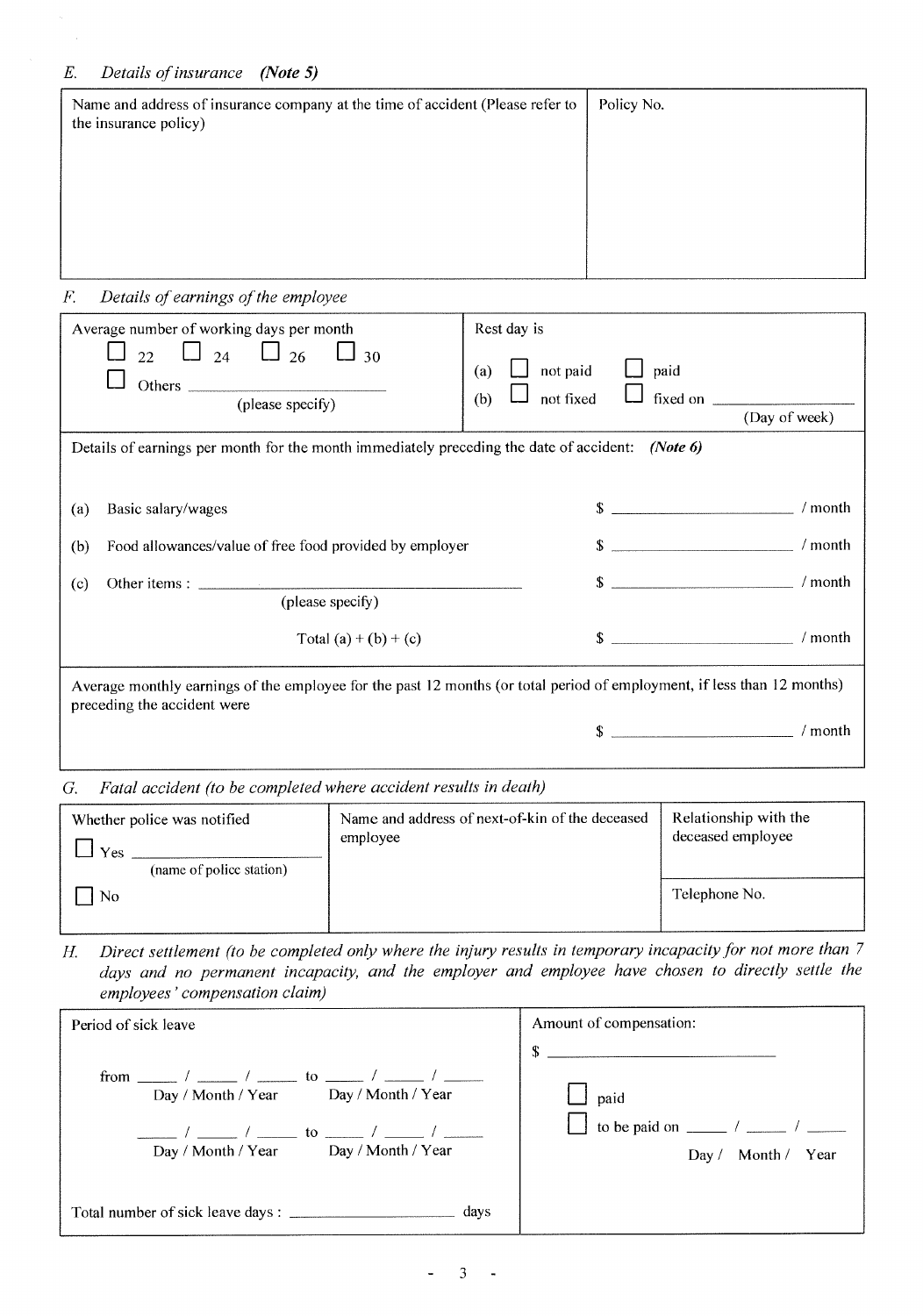| Policy No. |
|------------|
|            |
|            |
|            |
|            |

#### $\cal F.$ Details of earnings of the employee

| Average number of working days per month<br>$_{22}$ $\Box$ $_{24}$ $\Box$ $_{26}$ $\Box$ $_{30}$<br>(please specify)                                   | Rest day is<br>not paid<br>paid<br>(a)<br>Ш<br>not fixed<br>fixed on $\qquad$<br>(b) | (Day of week) |
|--------------------------------------------------------------------------------------------------------------------------------------------------------|--------------------------------------------------------------------------------------|---------------|
| Details of earnings per month for the month immediately preceding the date of accident: (Note 6)                                                       |                                                                                      |               |
|                                                                                                                                                        |                                                                                      |               |
| Basic salary/wages<br>(a)                                                                                                                              | $\mathsf{S}$                                                                         | ' month       |
| Food allowances/value of free food provided by employer<br>(b)                                                                                         | $\sim$                                                                               | $/$ month     |
| (c)                                                                                                                                                    | $\sim$                                                                               | $/$ month     |
| (please specify)                                                                                                                                       |                                                                                      |               |
| Total $(a) + (b) + (c)$                                                                                                                                | $\sim$                                                                               | $/$ month     |
| Average monthly earnings of the employee for the past 12 months (or total period of employment, if less than 12 months)<br>preceding the accident were |                                                                                      |               |
|                                                                                                                                                        | \$                                                                                   | $/$ month     |
|                                                                                                                                                        |                                                                                      |               |

G. Fatal accident (to be completed where accident results in death)

| Whether police was notified<br>Yes<br>(name of police station) | Name and address of next-of-kin of the deceased<br>employee | Relationship with the<br>deceased employee |
|----------------------------------------------------------------|-------------------------------------------------------------|--------------------------------------------|
| No                                                             |                                                             | Telephone No.                              |

Direct settlement (to be completed only where the injury results in temporary incapacity for not more than 7 Н. days and no permanent incapacity, and the employer and employee have chosen to directly settle the employees' compensation claim)

| Period of sick leave                                                                 | Amount of compensation:                        |
|--------------------------------------------------------------------------------------|------------------------------------------------|
| Day / Month / Year<br>Day / Month / Year<br>Day / Month / Year<br>Day / Month / Year | \$<br>paid<br>Year<br>Month/<br>Day $\sqrt{ }$ |
| Total number of sick leave days : _______________________________ days               |                                                |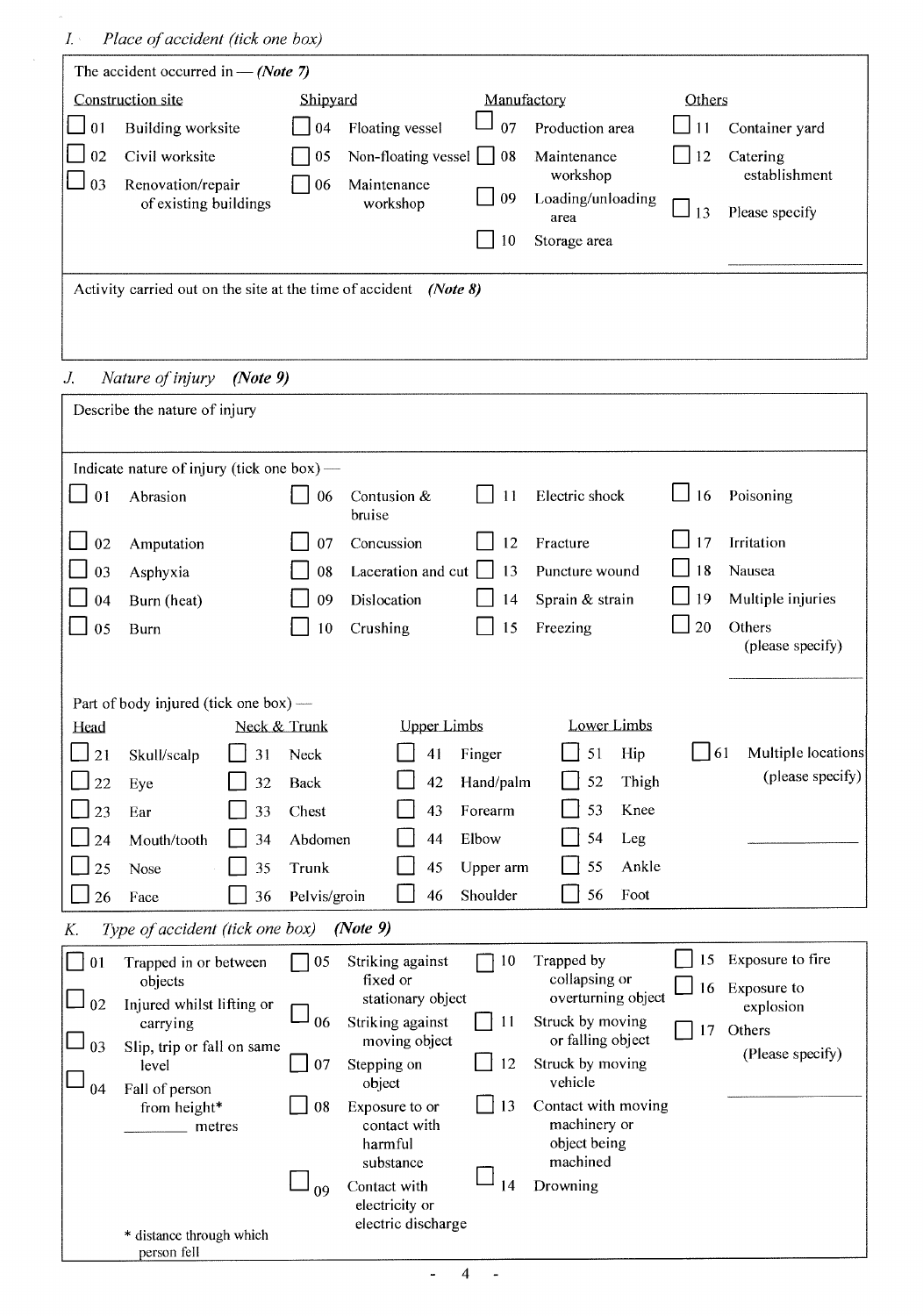person fell

| The accident occurred in $-$ (Note 7)                             |                    |                                   |             |                                       |        |                           |
|-------------------------------------------------------------------|--------------------|-----------------------------------|-------------|---------------------------------------|--------|---------------------------|
| Construction site                                                 | Shipyard           |                                   | Manufactory |                                       | Others |                           |
| 01<br>Building worksite                                           | 04                 | Floating vessel                   | 07          | Production area                       | 11     | Container yard            |
| 02<br>Civil worksite                                              | 05                 | Non-floating vessel               | 08          | Maintenance<br>workshop               | 12     | Catering<br>establishment |
| 03<br>Renovation/repair<br>of existing buildings                  | 06                 | Maintenance<br>workshop           | 09          | Loading/unloading<br>area             | 13     | Please specify            |
|                                                                   |                    |                                   | 10          | Storage area                          |        |                           |
| Activity carried out on the site at the time of accident (Note 8) |                    |                                   |             |                                       |        |                           |
|                                                                   |                    |                                   |             |                                       |        |                           |
|                                                                   |                    |                                   |             |                                       |        |                           |
| J.<br>Nature of injury                                            | (Note 9)           |                                   |             |                                       |        |                           |
| Describe the nature of injury                                     |                    |                                   |             |                                       |        |                           |
|                                                                   |                    |                                   |             |                                       |        |                           |
| Indicate nature of injury (tick one box) —                        |                    |                                   |             |                                       |        |                           |
| Abrasion<br>0 <sub>1</sub>                                        | 06                 | Contusion &<br>bruise             | 11          | Electric shock                        | 16     | Poisoning                 |
| 02<br>Amputation                                                  | 07                 | Concussion                        | 12          | Fracture                              | 17     | Irritation                |
| 03<br>Asphyxia                                                    | 08                 | Laceration and cut                | 13          | Puncture wound                        | 18     | Nausea                    |
| Burn (heat)<br>04                                                 | 09                 | Dislocation                       | 14          | Sprain & strain                       | 19     | Multiple injuries         |
| 05<br><b>Burn</b>                                                 | 10                 | Crushing                          | 15          | Freezing                              | 20     | Others                    |
|                                                                   |                    |                                   |             |                                       |        | (please specify)          |
|                                                                   |                    |                                   |             |                                       |        |                           |
| Part of body injured (tick one box) —<br>Head                     | Neck & Trunk       | <b>Upper Limbs</b>                |             | Lower Limbs                           |        |                           |
| 21<br>Skull/scalp                                                 | 31<br>Neck         | 41                                | Finger      | 51<br>Hip                             | 61     | Multiple locations        |
| 22<br>Eye                                                         | 32<br><b>Back</b>  | 42                                | Hand/palm   | Thigh<br>52                           |        | (please specify)          |
| 23<br>Ear                                                         | 33<br>Chest        | 43                                | Forearm     | Knee<br>53                            |        |                           |
| Mouth/tooth<br>24                                                 | Abdomen<br>34      | 44                                | Elbow       | 54<br>Leg                             |        |                           |
| 25<br>Nose                                                        | 35<br>Trunk        | 45                                | Upper arm   | 55<br>Ankle                           |        |                           |
| 26<br>Face                                                        | Pelvis/groin<br>36 | 46                                | Shoulder    | 56<br>Foot                            |        |                           |
|                                                                   |                    |                                   |             |                                       |        |                           |
| Type of accident (tick one box)<br>К.                             |                    | (Note 9)                          |             |                                       |        |                           |
| Trapped in or between<br>01<br>objects                            | 05                 | Striking against<br>fixed or      | 10          | Trapped by<br>collapsing or           | 15     | Exposure to fire          |
| 02<br>Injured whilst lifting or                                   |                    | stationary object                 |             | overturning object                    | 16     | Exposure to<br>explosion  |
| carrying                                                          | 06                 | Striking against<br>moving object | 11          | Struck by moving<br>or falling object | 17     | Others                    |
| Slip, trip or fall on same<br>03<br>level                         | 07                 | Stepping on<br>object             | 12          | Struck by moving<br>vehicle           |        | (Please specify)          |
| Fall of person<br>04<br>from height*                              | 08                 | Exposure to or                    | 13          | Contact with moving                   |        |                           |
| metres                                                            |                    | contact with<br>harmful           |             | machinery or<br>object being          |        |                           |
|                                                                   |                    | substance                         |             | machined                              |        |                           |
|                                                                   | 09                 | Contact with<br>electricity or    | 14          | Drowning                              |        |                           |
| * distance through which                                          |                    | electric discharge                |             |                                       |        |                           |
|                                                                   |                    |                                   |             |                                       |        |                           |

 $\Box$  $\overline{4}$  $\sim$   $\pm$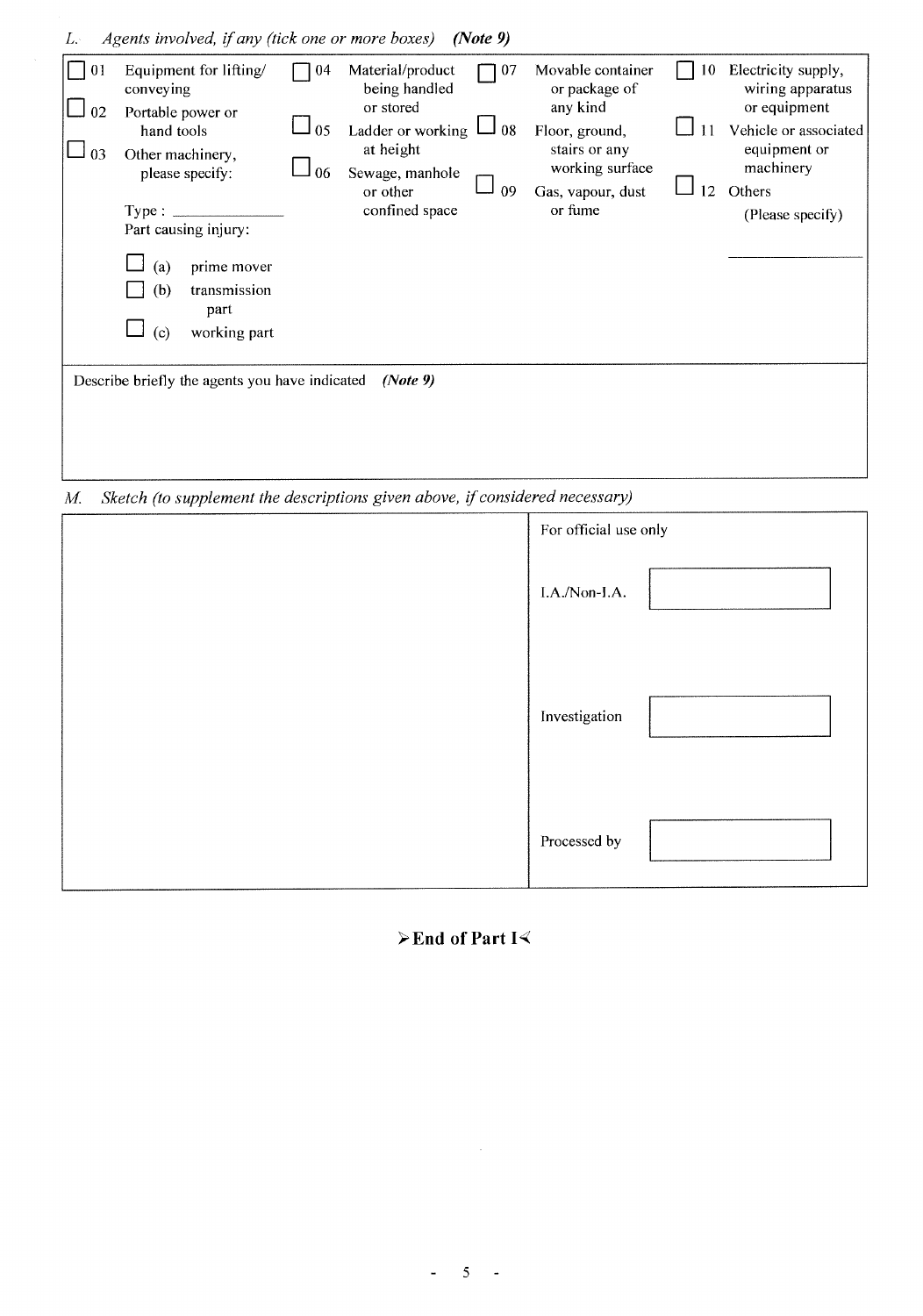| L÷             | Agents involved, if any (tick one or more boxes)                                                                                                                                                                               |                |                                                                                                                                   | (Note 9)       |                                                                                                                                      |          |                                                                                                                                             |
|----------------|--------------------------------------------------------------------------------------------------------------------------------------------------------------------------------------------------------------------------------|----------------|-----------------------------------------------------------------------------------------------------------------------------------|----------------|--------------------------------------------------------------------------------------------------------------------------------------|----------|---------------------------------------------------------------------------------------------------------------------------------------------|
| 01<br>02<br>03 | Equipment for lifting/<br>conveying<br>Portable power or<br>hand tools<br>Other machinery,<br>please specify:<br>Type:<br>Part causing injury:<br>prime mover<br>(a)<br>transmission<br>(b)<br>part<br>working part<br>$\circ$ | 04<br>05<br>06 | Material/product<br>being handled<br>or stored<br>Ladder or working<br>at height<br>Sewage, manhole<br>or other<br>confined space | 07<br>08<br>09 | Movable container<br>or package of<br>any kind<br>Floor, ground,<br>stairs or any<br>working surface<br>Gas, vapour, dust<br>or fume | 10<br>12 | Electricity supply,<br>wiring apparatus<br>or equipment<br>Vehicle or associated<br>equipment or<br>machinery<br>Others<br>(Please specify) |
|                | Describe briefly the agents you have indicated                                                                                                                                                                                 |                | (Note 9)                                                                                                                          |                |                                                                                                                                      |          |                                                                                                                                             |

Sketch (to supplement the descriptions given above, if considered necessary)  $M_{\cdot}$ 

| For official use only |  |
|-----------------------|--|
| I.A./Non-I.A.         |  |
| Investigation         |  |
| Processed by          |  |

# $\triangleright$  End of Part I $\triangleleft$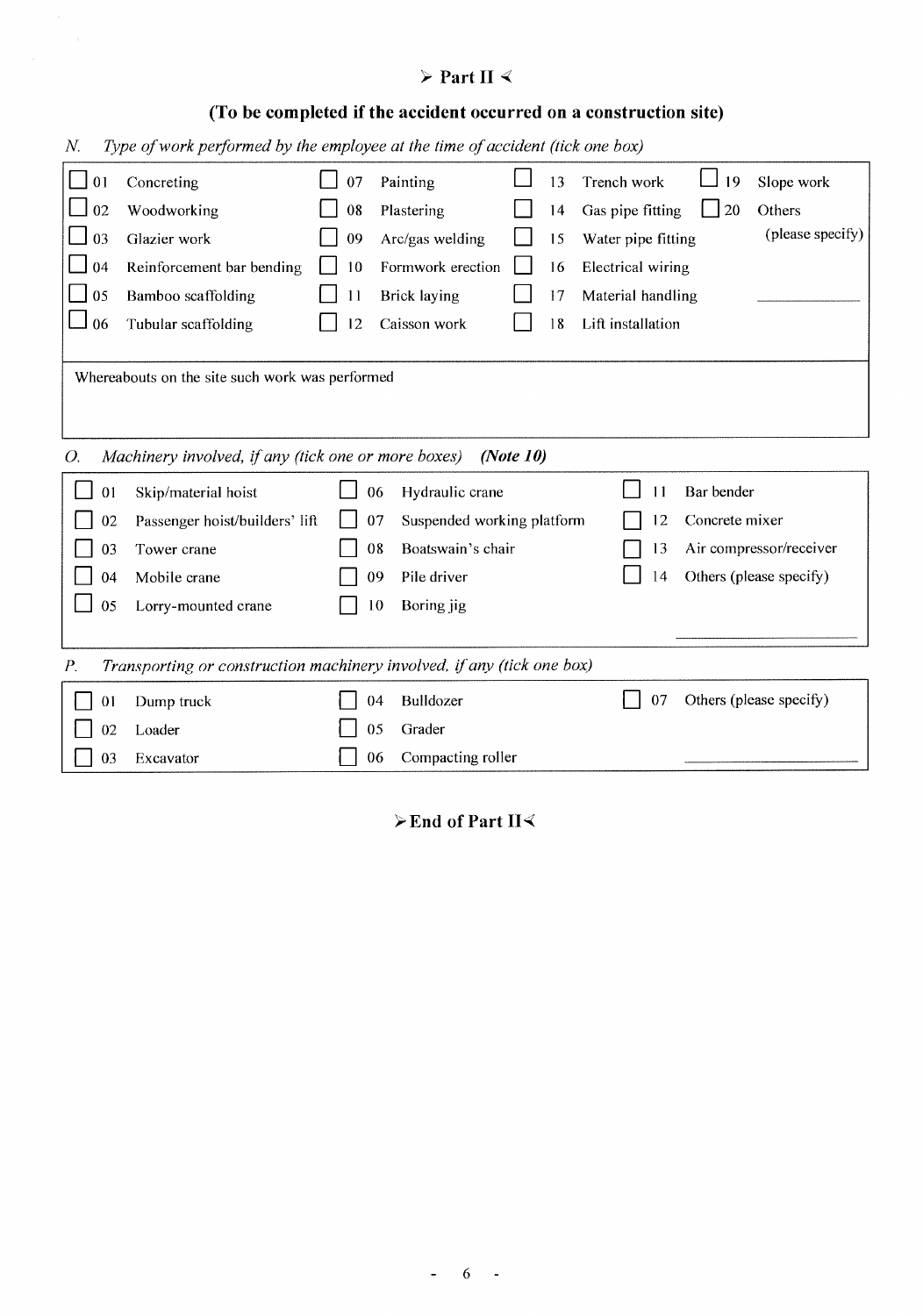# $\triangleright$  Part II  $\triangleleft$

# (To be completed if the accident occurred on a construction site)

Type of work performed by the employee at the time of accident (tick one box)  $N_{\cdot}$ 

| 01                                                                                    | Concreting                                          | 07 | Painting                         |              | 13 | Trench work        | 19             | Slope work              |
|---------------------------------------------------------------------------------------|-----------------------------------------------------|----|----------------------------------|--------------|----|--------------------|----------------|-------------------------|
| 02                                                                                    | Woodworking                                         | 08 | Plastering                       |              | 14 | Gas pipe fitting   | 20             | Others                  |
| 03                                                                                    | Glazier work                                        | 09 | Arc/gas welding                  |              | 15 | Water pipe fitting |                | (please specify)        |
| 04                                                                                    | Reinforcement bar bending                           | 10 | Formwork erection                |              | 16 | Electrical wiring  |                |                         |
| 05                                                                                    | Bamboo scaffolding                                  | 11 | Brick laying                     |              | 17 | Material handling  |                |                         |
| 06                                                                                    | Tubular scaffolding                                 | 12 | Caisson work                     |              | 18 | Lift installation  |                |                         |
|                                                                                       |                                                     |    |                                  |              |    |                    |                |                         |
|                                                                                       | Whereabouts on the site such work was performed     |    |                                  |              |    |                    |                |                         |
|                                                                                       |                                                     |    |                                  |              |    |                    |                |                         |
|                                                                                       |                                                     |    |                                  |              |    |                    |                |                         |
| Ο.                                                                                    | Machinery involved, if any (tick one or more boxes) |    |                                  | (Note $10$ ) |    |                    |                |                         |
| 01                                                                                    | Skip/material hoist                                 |    | 06<br>Hydraulic crane            |              |    | 11                 | Bar bender     |                         |
| 02                                                                                    | Passenger hoist/builders' lift                      |    | 07<br>Suspended working platform |              |    | 12                 | Concrete mixer |                         |
| 03                                                                                    | Tower crane                                         |    | Boatswain's chair<br>08          |              |    | 13                 |                | Air compressor/receiver |
| 04                                                                                    | Mobile crane                                        |    | Pile driver<br>09                |              |    | 14                 |                | Others (please specify) |
| 05                                                                                    | Lorry-mounted crane                                 |    | Boring jig<br>10                 |              |    |                    |                |                         |
|                                                                                       |                                                     |    |                                  |              |    |                    |                |                         |
| Transporting or construction machinery involved, if any (tick one box)<br>$P_{\cdot}$ |                                                     |    |                                  |              |    |                    |                |                         |
| 0 <sub>1</sub>                                                                        | Dump truck                                          |    | Bulldozer<br>04                  |              |    | 07                 |                | Others (please specify) |
| 02                                                                                    | Loader                                              |    | 05<br>Grader                     |              |    |                    |                |                         |
| 03                                                                                    | Excavator                                           |    | Compacting roller<br>06          |              |    |                    |                |                         |

 $\blacktriangleright$  End of Part II $\triangleleft$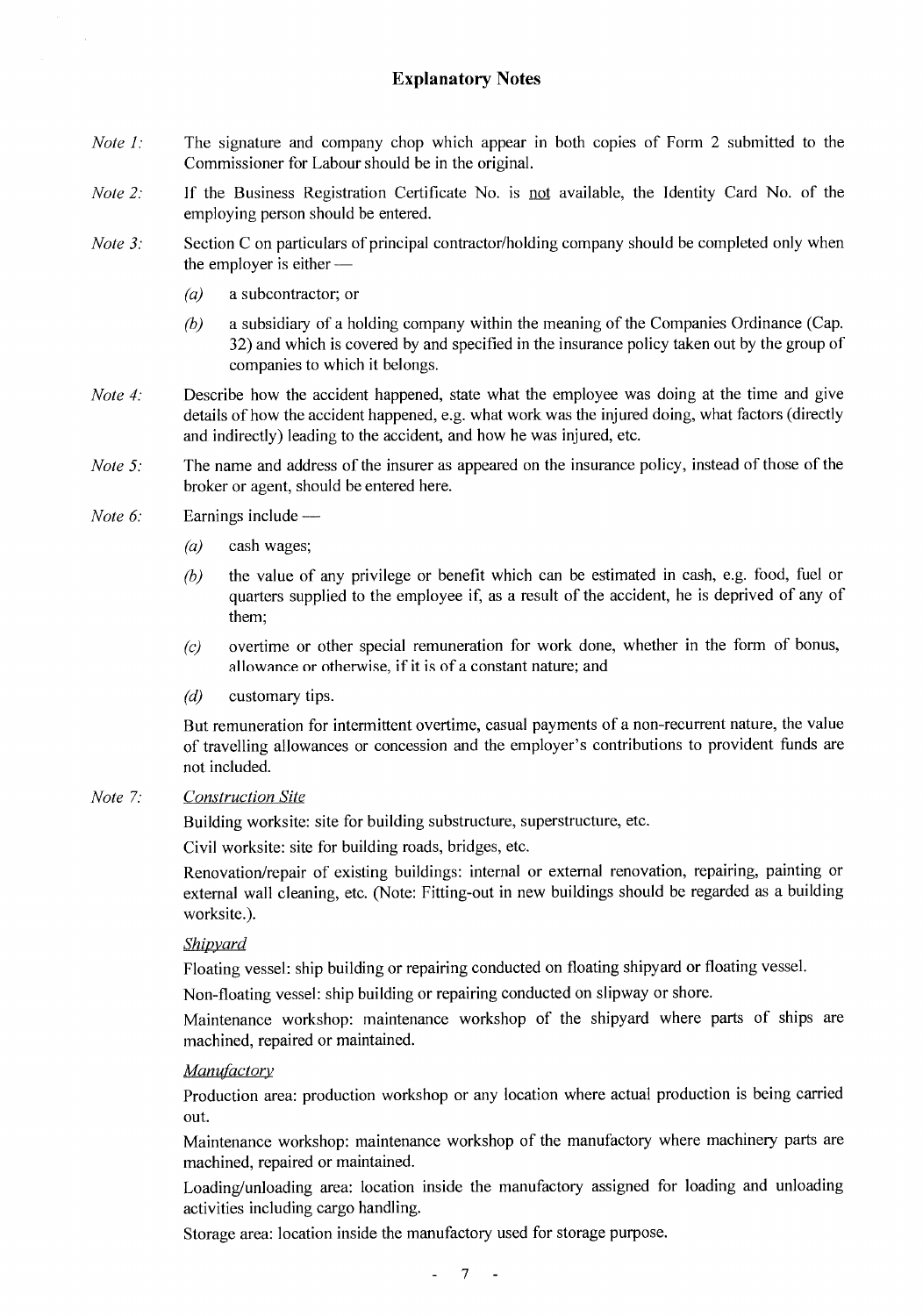# **Explanatory Notes**

- Note  $1$ : The signature and company chop which appear in both copies of Form 2 submitted to the Commissioner for Labour should be in the original.
- If the Business Registration Certificate No. is not available, the Identity Card No. of the Note  $2$ : employing person should be entered.
- Note  $3$ : Section C on particulars of principal contractor/holding company should be completed only when the employer is either —
	- $(a)$ a subcontractor; or
	- $(b)$ a subsidiary of a holding company within the meaning of the Companies Ordinance (Cap. 32) and which is covered by and specified in the insurance policy taken out by the group of companies to which it belongs.
- Describe how the accident happened, state what the employee was doing at the time and give Note 4: details of how the accident happened, e.g. what work was the injured doing, what factors (directly and indirectly) leading to the accident, and how he was injured, etc.
- The name and address of the insurer as appeared on the insurance policy, instead of those of the Note  $5$ : broker or agent, should be entered here.
- Note 6: Earnings include —
	- $(a)$ cash wages;
	- $(b)$ the value of any privilege or benefit which can be estimated in cash, e.g. food, fuel or quarters supplied to the employee if, as a result of the accident, he is deprived of any of them:
	- overtime or other special remuneration for work done, whether in the form of bonus,  $(c)$ allowance or otherwise, if it is of a constant nature; and
	- $(d)$ customary tips.

But remuneration for intermittent overtime, casual payments of a non-recurrent nature, the value of travelling allowances or concession and the employer's contributions to provident funds are not included.

#### Note  $7$ : **Construction Site**

Building worksite: site for building substructure, superstructure, etc.

Civil worksite: site for building roads, bridges, etc.

Renovation/repair of existing buildings: internal or external renovation, repairing, painting or external wall cleaning, etc. (Note: Fitting-out in new buildings should be regarded as a building worksite.).

# Shipvard

Floating yessel: ship building or repairing conducted on floating shipyard or floating yessel.

Non-floating vessel: ship building or repairing conducted on slipway or shore.

Maintenance workshop: maintenance workshop of the shipyard where parts of ships are machined, repaired or maintained.

#### Manufactory

Production area: production workshop or any location where actual production is being carried out.

Maintenance workshop: maintenance workshop of the manufactory where machinery parts are machined, repaired or maintained.

Loading/unloading area: location inside the manufactory assigned for loading and unloading activities including cargo handling.

Storage area: location inside the manufactory used for storage purpose.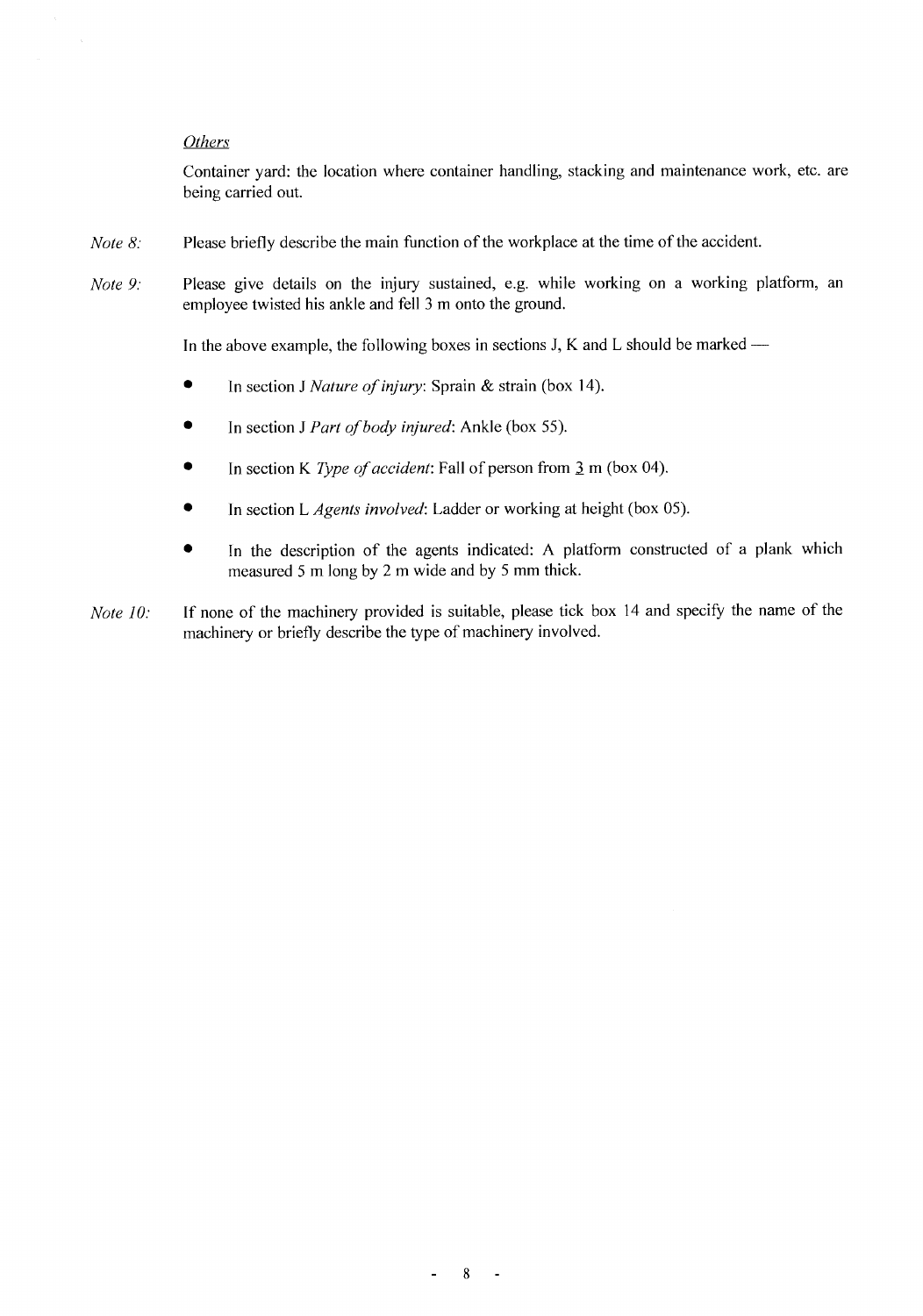#### Others

Container yard: the location where container handling, stacking and maintenance work, etc. are being carried out.

- Note 8: Please briefly describe the main function of the workplace at the time of the accident.
- Please give details on the injury sustained, e.g. while working on a working platform, an Note 9: employee twisted his ankle and fell 3 m onto the ground.

In the above example, the following boxes in sections J, K and L should be marked —

- In section J Nature of injury: Sprain & strain (box 14). ۰
- $\bullet$ In section J Part of body injured: Ankle (box 55).
- $\bullet$ In section K Type of accident: Fall of person from 3 m (box 04).
- In section L Agents involved: Ladder or working at height (box 05).
- In the description of the agents indicated: A platform constructed of a plank which measured 5 m long by 2 m wide and by 5 mm thick.
- If none of the machinery provided is suitable, please tick box 14 and specify the name of the Note 10: machinery or briefly describe the type of machinery involved.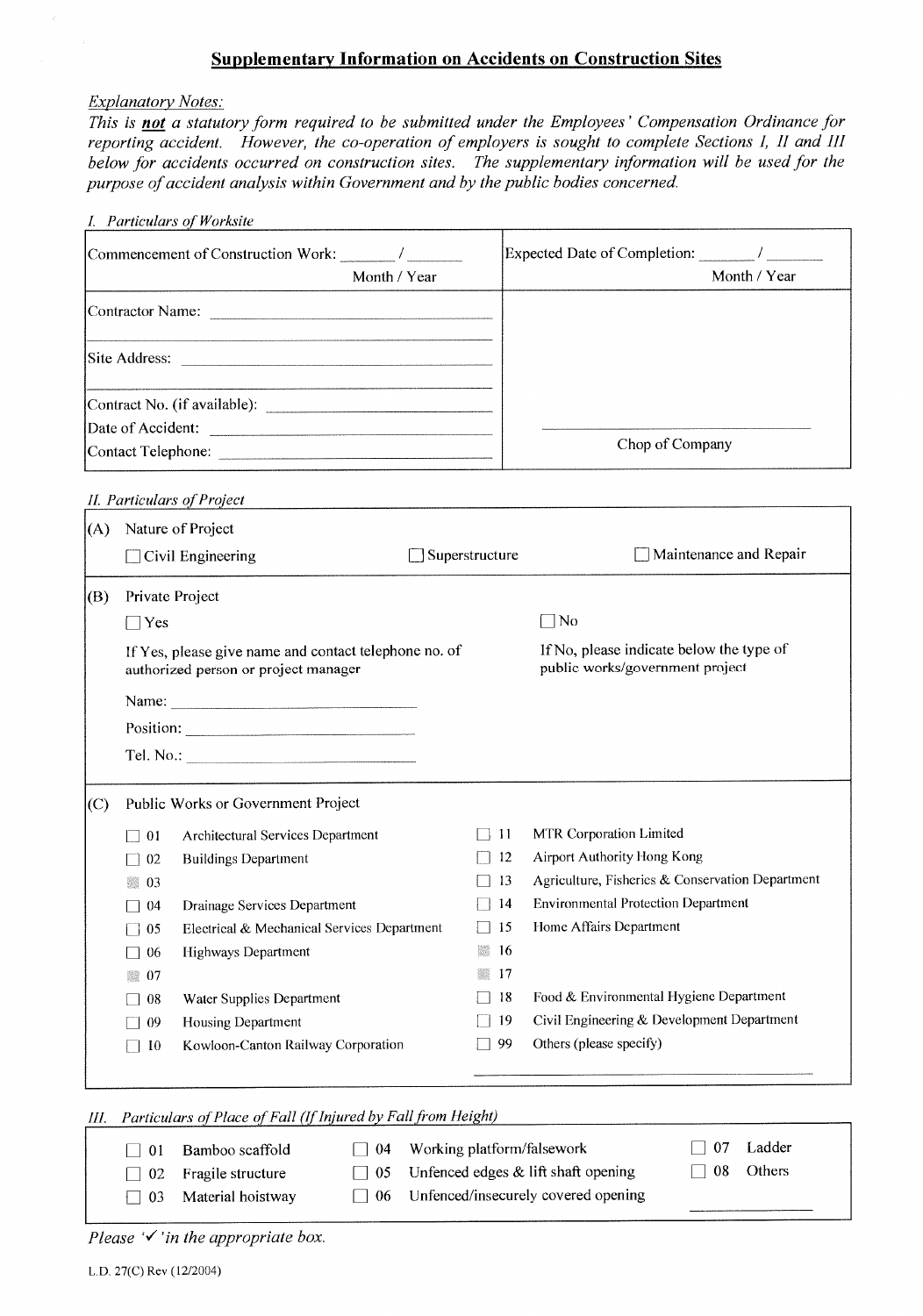# **Supplementary Information on Accidents on Construction Sites**

#### **Explanatory Notes:**

This is not a statutory form required to be submitted under the Employees' Compensation Ordinance for reporting accident. However, the co-operation of employers is sought to complete Sections I, II and III below for accidents occurred on construction sites. The supplementary information will be used for the purpose of accident analysis within Government and by the public bodies concerned.

|     |                 | I. Particulars of Worksite                                                                    |                       |     |                                                                             |
|-----|-----------------|-----------------------------------------------------------------------------------------------|-----------------------|-----|-----------------------------------------------------------------------------|
|     |                 |                                                                                               |                       |     |                                                                             |
|     |                 | Month / Year                                                                                  |                       |     | Month / Year                                                                |
|     |                 |                                                                                               |                       |     |                                                                             |
|     |                 |                                                                                               |                       |     |                                                                             |
|     |                 | Contract No. (if available):                                                                  |                       |     |                                                                             |
|     |                 | Date of Accident:                                                                             |                       |     |                                                                             |
|     |                 |                                                                                               |                       |     | Chop of Company                                                             |
|     |                 | II. Particulars of Project                                                                    |                       |     |                                                                             |
| (A) |                 | Nature of Project                                                                             |                       |     |                                                                             |
|     |                 | $\Box$ Civil Engineering                                                                      | $\Box$ Superstructure |     | Maintenance and Repair                                                      |
| (B) | Private Project |                                                                                               |                       |     |                                                                             |
|     | $\Box$ Yes      |                                                                                               |                       |     | $\exists$ No                                                                |
|     |                 | If Yes, please give name and contact telephone no. of<br>authorized person or project manager |                       |     | If No, please indicate below the type of<br>public works/government project |
|     |                 | Name:                                                                                         |                       |     |                                                                             |
|     |                 |                                                                                               |                       |     |                                                                             |
|     |                 |                                                                                               |                       |     |                                                                             |
| (C) |                 | Public Works or Government Project                                                            |                       |     |                                                                             |
|     | -01             | Architectural Services Department                                                             | -   11                |     | MTR Corporation Limited                                                     |
|     | 02              | <b>Buildings Department</b>                                                                   |                       | 12  | <b>Airport Authority Hong Kong</b>                                          |
|     | -03             |                                                                                               |                       | 13  | Agriculture, Fisheries & Conservation Department                            |
|     | -04             | Drainage Services Department                                                                  | $\vert$ 14            |     | <b>Environmental Protection Department</b>                                  |
|     | $\Box$ 05       | Electrical & Mechanical Services Department                                                   | $\Box$ 15             |     | Home Affairs Department                                                     |
|     | -06             | <b>Highways Department</b>                                                                    |                       | -16 |                                                                             |
|     | ■ 07            |                                                                                               | W.                    | 17  |                                                                             |
|     | $\Box$ 08       | Water Supplies Department                                                                     |                       | 18  | Food & Environmental Hygiene Department                                     |
|     | -09             | <b>Housing Department</b>                                                                     | 719                   |     | Civil Engineering & Development Department                                  |
|     | $\Box$ 10       | Kowloon-Canton Railway Corporation                                                            |                       | 99  | Others (please specify)                                                     |
|     |                 |                                                                                               |                       |     |                                                                             |

| III. | Particulars of Place of Fall (If Injured by Fall from Height) |                   |           |                                               |     |        |  |  |
|------|---------------------------------------------------------------|-------------------|-----------|-----------------------------------------------|-----|--------|--|--|
|      | -01                                                           | Bamboo scaffold   | $\Box$ 04 | Working platform/falsework                    | -07 | Ladder |  |  |
|      | $\sqrt{02}$                                                   | Fragile structure |           | $\Box$ 05 Unfenced edges & lift shaft opening | 08  | Others |  |  |
|      | -03                                                           | Material hoistway | $\pm 06$  | Unfenced/insecurely covered opening           |     |        |  |  |

Please  $\checkmark$  in the appropriate box.